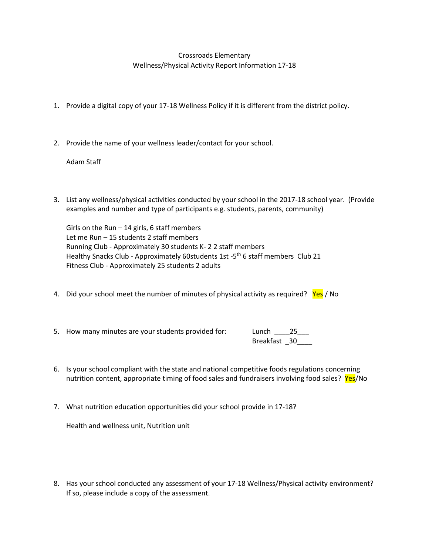## Crossroads Elementary Wellness/Physical Activity Report Information 17-18

- 1. Provide a digital copy of your 17-18 Wellness Policy if it is different from the district policy.
- 2. Provide the name of your wellness leader/contact for your school.

Adam Staff

3. List any wellness/physical activities conducted by your school in the 2017-18 school year. (Provide examples and number and type of participants e.g. students, parents, community)

Girls on the Run  $-$  14 girls, 6 staff members Let me Run – 15 students 2 staff members Running Club - Approximately 30 students K- 2 2 staff members Healthy Snacks Club - Approximately 60students 1st -5<sup>th</sup> 6 staff members Club 21 Fitness Club - Approximately 25 students 2 adults

- 4. Did your school meet the number of minutes of physical activity as required? Yes / No
- 5. How many minutes are your students provided for: Lunch \_\_\_\_25\_\_\_

Breakfast 30

- 6. Is your school compliant with the state and national competitive foods regulations concerning nutrition content, appropriate timing of food sales and fundraisers involving food sales? Yes/No
- 7. What nutrition education opportunities did your school provide in 17-18?

Health and wellness unit, Nutrition unit

8. Has your school conducted any assessment of your 17-18 Wellness/Physical activity environment? If so, please include a copy of the assessment.